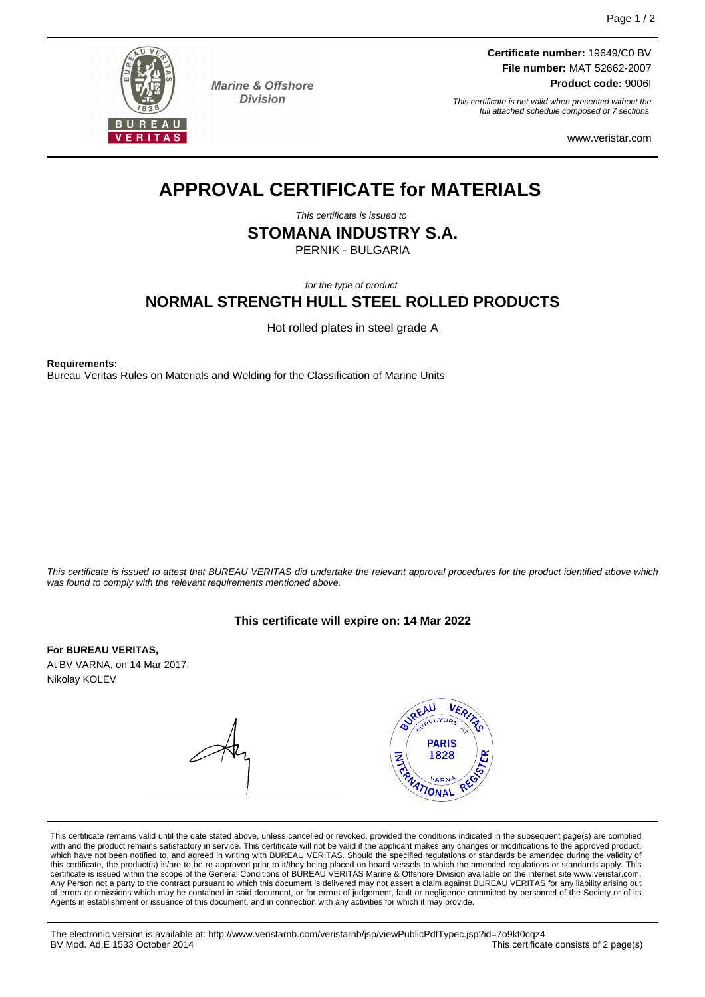

**Marine & Offshore Division** 

**Certificate number:** 19649/C0 BV **File number:** MAT 52662-2007 **Product code:** 9006I

This certificate is not valid when presented without the full attached schedule composed of 7 sections

www.veristar.com

## **APPROVAL CERTIFICATE for MATERIALS**

This certificate is issued to

**STOMANA INDUSTRY S.A.**

PERNIK - BULGARIA

for the type of product

### **NORMAL STRENGTH HULL STEEL ROLLED PRODUCTS**

Hot rolled plates in steel grade A

**Requirements:**

Bureau Veritas Rules on Materials and Welding for the Classification of Marine Units

This certificate is issued to attest that BUREAU VERITAS did undertake the relevant approval procedures for the product identified above which was found to comply with the relevant requirements mentioned above.

#### **This certificate will expire on: 14 Mar 2022**

**For BUREAU VERITAS,** At BV VARNA, on 14 Mar 2017, Nikolay KOLEV



This certificate remains valid until the date stated above, unless cancelled or revoked, provided the conditions indicated in the subsequent page(s) are complied with and the product remains satisfactory in service. This certificate will not be valid if the applicant makes any changes or modifications to the approved product,<br>which have not been notified to, and agreed in writing w Any Person not a party to the contract pursuant to which this document is delivered may not assert a claim against BUREAU VERITAS for any liability arising out of errors or omissions which may be contained in said document, or for errors of judgement, fault or negligence committed by personnel of the Society or of its Agents in establishment or issuance of this document, and in connection with any activities for which it may provide.